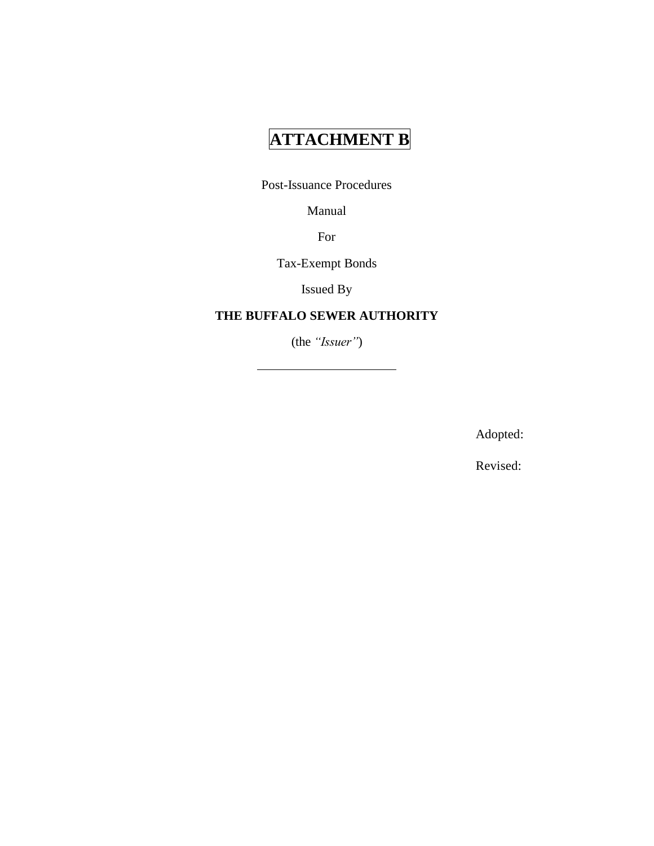# **ATTACHMENT B**

Post-Issuance Procedures

Manual

For

Tax-Exempt Bonds

Issued By

### **THE BUFFALO SEWER AUTHORITY**

(the *"Issuer"*)

Adopted:

Revised: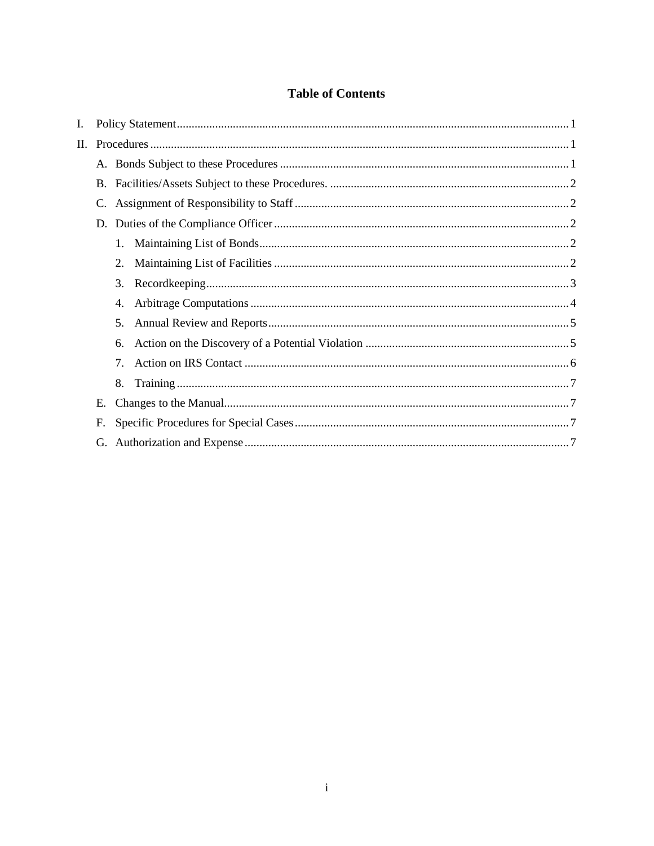### **Table of Contents**

| C.          |    |  |
|-------------|----|--|
|             |    |  |
|             | 1. |  |
|             | 2. |  |
|             | 3. |  |
|             | 4. |  |
|             | 5. |  |
|             | 6. |  |
|             | 7. |  |
|             | 8. |  |
| E.          |    |  |
| $F_{\cdot}$ |    |  |
| G.          |    |  |
|             | П. |  |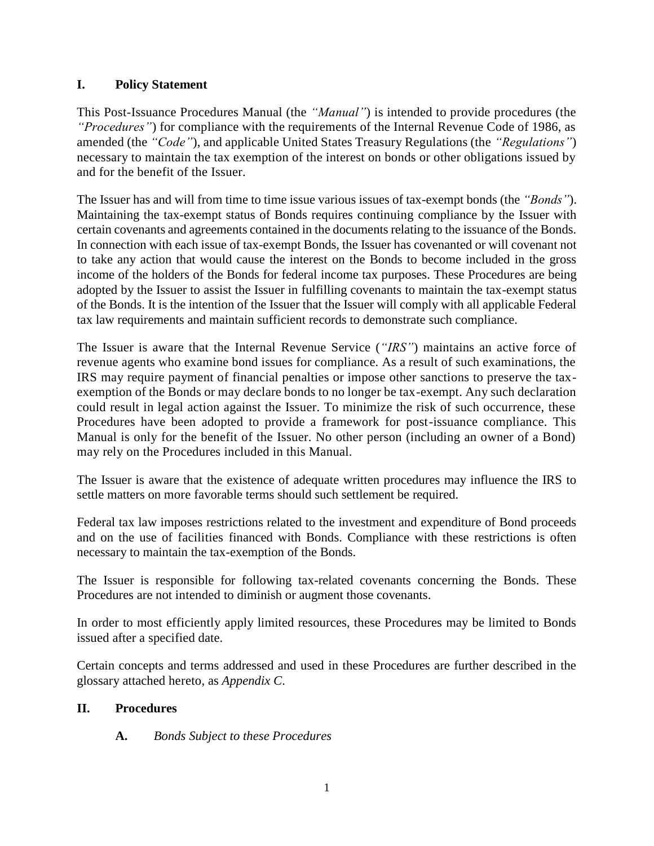### <span id="page-2-0"></span>**I. Policy Statement**

This Post-Issuance Procedures Manual (the *"Manual"*) is intended to provide procedures (the *"Procedures"*) for compliance with the requirements of the Internal Revenue Code of 1986, as amended (the *"Code"*), and applicable United States Treasury Regulations (the *"Regulations"*) necessary to maintain the tax exemption of the interest on bonds or other obligations issued by and for the benefit of the Issuer.

The Issuer has and will from time to time issue various issues of tax-exempt bonds (the *"Bonds"*). Maintaining the tax-exempt status of Bonds requires continuing compliance by the Issuer with certain covenants and agreements contained in the documents relating to the issuance of the Bonds. In connection with each issue of tax-exempt Bonds, the Issuer has covenanted or will covenant not to take any action that would cause the interest on the Bonds to become included in the gross income of the holders of the Bonds for federal income tax purposes. These Procedures are being adopted by the Issuer to assist the Issuer in fulfilling covenants to maintain the tax-exempt status of the Bonds. It is the intention of the Issuer that the Issuer will comply with all applicable Federal tax law requirements and maintain sufficient records to demonstrate such compliance.

The Issuer is aware that the Internal Revenue Service (*"IRS"*) maintains an active force of revenue agents who examine bond issues for compliance. As a result of such examinations, the IRS may require payment of financial penalties or impose other sanctions to preserve the taxexemption of the Bonds or may declare bonds to no longer be tax-exempt. Any such declaration could result in legal action against the Issuer. To minimize the risk of such occurrence, these Procedures have been adopted to provide a framework for post-issuance compliance. This Manual is only for the benefit of the Issuer. No other person (including an owner of a Bond) may rely on the Procedures included in this Manual.

The Issuer is aware that the existence of adequate written procedures may influence the IRS to settle matters on more favorable terms should such settlement be required.

Federal tax law imposes restrictions related to the investment and expenditure of Bond proceeds and on the use of facilities financed with Bonds. Compliance with these restrictions is often necessary to maintain the tax-exemption of the Bonds.

The Issuer is responsible for following tax-related covenants concerning the Bonds. These Procedures are not intended to diminish or augment those covenants.

In order to most efficiently apply limited resources, these Procedures may be limited to Bonds issued after a specified date.

Certain concepts and terms addressed and used in these Procedures are further described in the glossary attached hereto, as *Appendix C*.

### <span id="page-2-2"></span><span id="page-2-1"></span>**II. Procedures**

**A.** *Bonds Subject to these Procedures*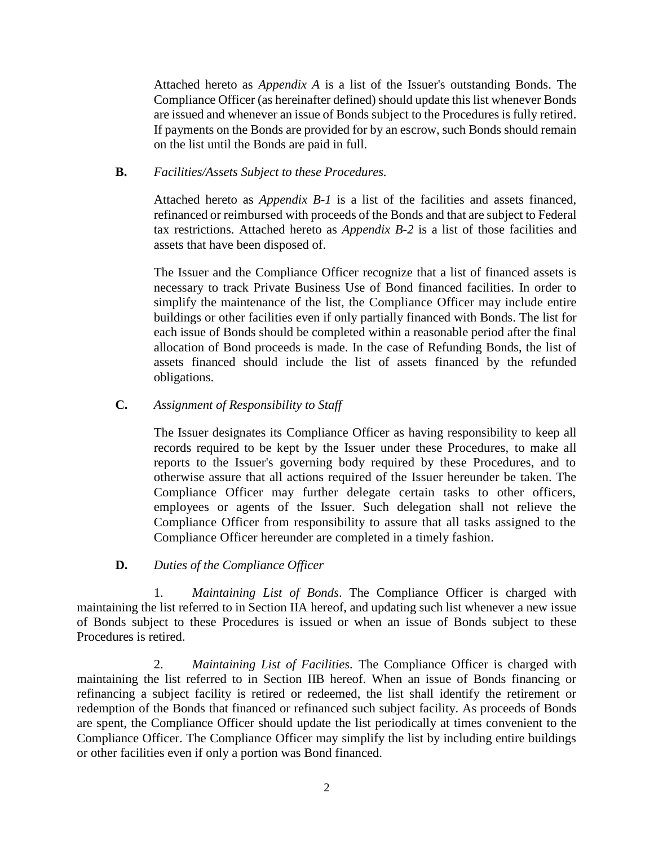Attached hereto as *Appendix A* is a list of the Issuer's outstanding Bonds. The Compliance Officer (as hereinafter defined) should update this list whenever Bonds are issued and whenever an issue of Bonds subject to the Procedures is fully retired. If payments on the Bonds are provided for by an escrow, such Bonds should remain on the list until the Bonds are paid in full.

### <span id="page-3-0"></span>**B.** *Facilities/Assets Subject to these Procedures.*

Attached hereto as *Appendix B-1* is a list of the facilities and assets financed, refinanced or reimbursed with proceeds of the Bonds and that are subject to Federal tax restrictions. Attached hereto as *Appendix B-2* is a list of those facilities and assets that have been disposed of.

The Issuer and the Compliance Officer recognize that a list of financed assets is necessary to track Private Business Use of Bond financed facilities. In order to simplify the maintenance of the list, the Compliance Officer may include entire buildings or other facilities even if only partially financed with Bonds. The list for each issue of Bonds should be completed within a reasonable period after the final allocation of Bond proceeds is made. In the case of Refunding Bonds, the list of assets financed should include the list of assets financed by the refunded obligations.

### <span id="page-3-1"></span>**C.** *Assignment of Responsibility to Staff*

The Issuer designates its Compliance Officer as having responsibility to keep all records required to be kept by the Issuer under these Procedures, to make all reports to the Issuer's governing body required by these Procedures, and to otherwise assure that all actions required of the Issuer hereunder be taken. The Compliance Officer may further delegate certain tasks to other officers, employees or agents of the Issuer. Such delegation shall not relieve the Compliance Officer from responsibility to assure that all tasks assigned to the Compliance Officer hereunder are completed in a timely fashion.

#### **D.** *Duties of the Compliance Officer*

<span id="page-3-3"></span><span id="page-3-2"></span>1. *Maintaining List of Bonds*. The Compliance Officer is charged with maintaining the list referred to in Section IIA hereof, and updating such list whenever a new issue of Bonds subject to these Procedures is issued or when an issue of Bonds subject to these Procedures is retired.

<span id="page-3-4"></span>2. *Maintaining List of Facilities.* The Compliance Officer is charged with maintaining the list referred to in Section IIB hereof. When an issue of Bonds financing or refinancing a subject facility is retired or redeemed, the list shall identify the retirement or redemption of the Bonds that financed or refinanced such subject facility. As proceeds of Bonds are spent, the Compliance Officer should update the list periodically at times convenient to the Compliance Officer. The Compliance Officer may simplify the list by including entire buildings or other facilities even if only a portion was Bond financed.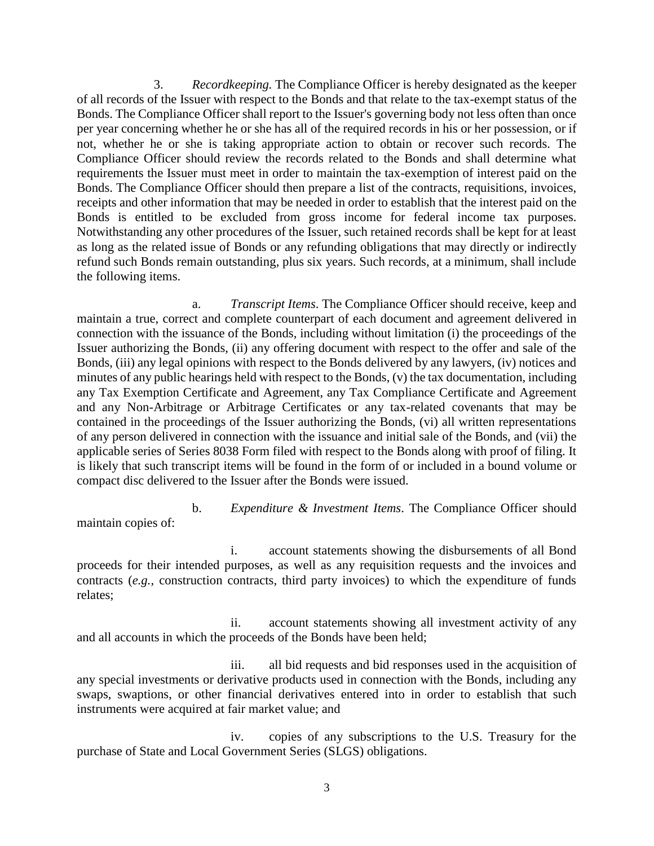<span id="page-4-0"></span>3. *Recordkeeping.* The Compliance Officer is hereby designated as the keeper of all records of the Issuer with respect to the Bonds and that relate to the tax-exempt status of the Bonds. The Compliance Officer shall report to the Issuer's governing body not less often than once per year concerning whether he or she has all of the required records in his or her possession, or if not, whether he or she is taking appropriate action to obtain or recover such records. The Compliance Officer should review the records related to the Bonds and shall determine what requirements the Issuer must meet in order to maintain the tax-exemption of interest paid on the Bonds. The Compliance Officer should then prepare a list of the contracts, requisitions, invoices, receipts and other information that may be needed in order to establish that the interest paid on the Bonds is entitled to be excluded from gross income for federal income tax purposes. Notwithstanding any other procedures of the Issuer, such retained records shall be kept for at least as long as the related issue of Bonds or any refunding obligations that may directly or indirectly refund such Bonds remain outstanding, plus six years. Such records, at a minimum, shall include the following items.

a. *Transcript Items*. The Compliance Officer should receive, keep and maintain a true, correct and complete counterpart of each document and agreement delivered in connection with the issuance of the Bonds, including without limitation (i) the proceedings of the Issuer authorizing the Bonds, (ii) any offering document with respect to the offer and sale of the Bonds, (iii) any legal opinions with respect to the Bonds delivered by any lawyers, (iv) notices and minutes of any public hearings held with respect to the Bonds, (v) the tax documentation, including any Tax Exemption Certificate and Agreement, any Tax Compliance Certificate and Agreement and any Non-Arbitrage or Arbitrage Certificates or any tax-related covenants that may be contained in the proceedings of the Issuer authorizing the Bonds, (vi) all written representations of any person delivered in connection with the issuance and initial sale of the Bonds, and (vii) the applicable series of Series 8038 Form filed with respect to the Bonds along with proof of filing. It is likely that such transcript items will be found in the form of or included in a bound volume or compact disc delivered to the Issuer after the Bonds were issued.

b. *Expenditure & Investment Items*. The Compliance Officer should maintain copies of:

i. account statements showing the disbursements of all Bond proceeds for their intended purposes, as well as any requisition requests and the invoices and contracts (*e.g.,* construction contracts, third party invoices) to which the expenditure of funds relates;

ii. account statements showing all investment activity of any and all accounts in which the proceeds of the Bonds have been held;

iii. all bid requests and bid responses used in the acquisition of any special investments or derivative products used in connection with the Bonds, including any swaps, swaptions, or other financial derivatives entered into in order to establish that such instruments were acquired at fair market value; and

iv. copies of any subscriptions to the U.S. Treasury for the purchase of State and Local Government Series (SLGS) obligations.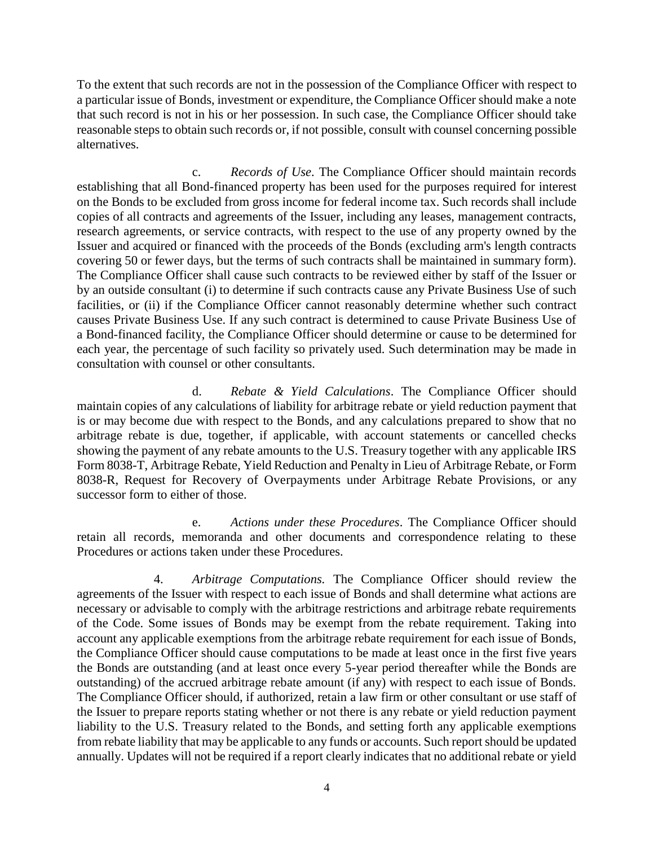To the extent that such records are not in the possession of the Compliance Officer with respect to a particular issue of Bonds, investment or expenditure, the Compliance Officer should make a note that such record is not in his or her possession. In such case, the Compliance Officer should take reasonable steps to obtain such records or, if not possible, consult with counsel concerning possible alternatives.

c. *Records of Use*. The Compliance Officer should maintain records establishing that all Bond-financed property has been used for the purposes required for interest on the Bonds to be excluded from gross income for federal income tax. Such records shall include copies of all contracts and agreements of the Issuer, including any leases, management contracts, research agreements, or service contracts, with respect to the use of any property owned by the Issuer and acquired or financed with the proceeds of the Bonds (excluding arm's length contracts covering 50 or fewer days, but the terms of such contracts shall be maintained in summary form). The Compliance Officer shall cause such contracts to be reviewed either by staff of the Issuer or by an outside consultant (i) to determine if such contracts cause any Private Business Use of such facilities, or (ii) if the Compliance Officer cannot reasonably determine whether such contract causes Private Business Use. If any such contract is determined to cause Private Business Use of a Bond-financed facility, the Compliance Officer should determine or cause to be determined for each year, the percentage of such facility so privately used. Such determination may be made in consultation with counsel or other consultants.

d. *Rebate & Yield Calculations*. The Compliance Officer should maintain copies of any calculations of liability for arbitrage rebate or yield reduction payment that is or may become due with respect to the Bonds, and any calculations prepared to show that no arbitrage rebate is due, together, if applicable, with account statements or cancelled checks showing the payment of any rebate amounts to the U.S. Treasury together with any applicable IRS Form 8038-T, Arbitrage Rebate, Yield Reduction and Penalty in Lieu of Arbitrage Rebate, or Form 8038-R, Request for Recovery of Overpayments under Arbitrage Rebate Provisions, or any successor form to either of those.

e. *Actions under these Procedures*. The Compliance Officer should retain all records, memoranda and other documents and correspondence relating to these Procedures or actions taken under these Procedures.

<span id="page-5-0"></span>4. *Arbitrage Computations.* The Compliance Officer should review the agreements of the Issuer with respect to each issue of Bonds and shall determine what actions are necessary or advisable to comply with the arbitrage restrictions and arbitrage rebate requirements of the Code. Some issues of Bonds may be exempt from the rebate requirement. Taking into account any applicable exemptions from the arbitrage rebate requirement for each issue of Bonds, the Compliance Officer should cause computations to be made at least once in the first five years the Bonds are outstanding (and at least once every 5-year period thereafter while the Bonds are outstanding) of the accrued arbitrage rebate amount (if any) with respect to each issue of Bonds. The Compliance Officer should, if authorized, retain a law firm or other consultant or use staff of the Issuer to prepare reports stating whether or not there is any rebate or yield reduction payment liability to the U.S. Treasury related to the Bonds, and setting forth any applicable exemptions from rebate liability that may be applicable to any funds or accounts. Such report should be updated annually. Updates will not be required if a report clearly indicates that no additional rebate or yield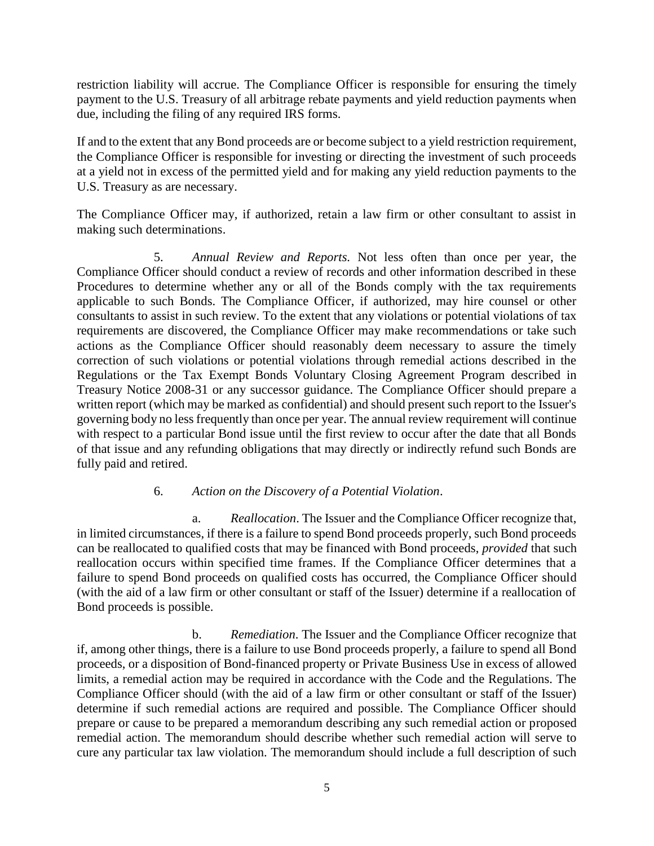restriction liability will accrue. The Compliance Officer is responsible for ensuring the timely payment to the U.S. Treasury of all arbitrage rebate payments and yield reduction payments when due, including the filing of any required IRS forms.

If and to the extent that any Bond proceeds are or become subject to a yield restriction requirement, the Compliance Officer is responsible for investing or directing the investment of such proceeds at a yield not in excess of the permitted yield and for making any yield reduction payments to the U.S. Treasury as are necessary.

The Compliance Officer may, if authorized, retain a law firm or other consultant to assist in making such determinations.

<span id="page-6-0"></span>5. *Annual Review and Reports.* Not less often than once per year, the Compliance Officer should conduct a review of records and other information described in these Procedures to determine whether any or all of the Bonds comply with the tax requirements applicable to such Bonds. The Compliance Officer, if authorized, may hire counsel or other consultants to assist in such review. To the extent that any violations or potential violations of tax requirements are discovered, the Compliance Officer may make recommendations or take such actions as the Compliance Officer should reasonably deem necessary to assure the timely correction of such violations or potential violations through remedial actions described in the Regulations or the Tax Exempt Bonds Voluntary Closing Agreement Program described in Treasury Notice 2008-31 or any successor guidance. The Compliance Officer should prepare a written report (which may be marked as confidential) and should present such report to the Issuer's governing body no less frequently than once per year. The annual review requirement will continue with respect to a particular Bond issue until the first review to occur after the date that all Bonds of that issue and any refunding obligations that may directly or indirectly refund such Bonds are fully paid and retired.

#### 6. *Action on the Discovery of a Potential Violation*.

<span id="page-6-1"></span>a. *Reallocation*. The Issuer and the Compliance Officer recognize that, in limited circumstances, if there is a failure to spend Bond proceeds properly, such Bond proceeds can be reallocated to qualified costs that may be financed with Bond proceeds, *provided* that such reallocation occurs within specified time frames. If the Compliance Officer determines that a failure to spend Bond proceeds on qualified costs has occurred, the Compliance Officer should (with the aid of a law firm or other consultant or staff of the Issuer) determine if a reallocation of Bond proceeds is possible.

b. *Remediation*. The Issuer and the Compliance Officer recognize that if, among other things, there is a failure to use Bond proceeds properly, a failure to spend all Bond proceeds, or a disposition of Bond-financed property or Private Business Use in excess of allowed limits, a remedial action may be required in accordance with the Code and the Regulations. The Compliance Officer should (with the aid of a law firm or other consultant or staff of the Issuer) determine if such remedial actions are required and possible. The Compliance Officer should prepare or cause to be prepared a memorandum describing any such remedial action or proposed remedial action. The memorandum should describe whether such remedial action will serve to cure any particular tax law violation. The memorandum should include a full description of such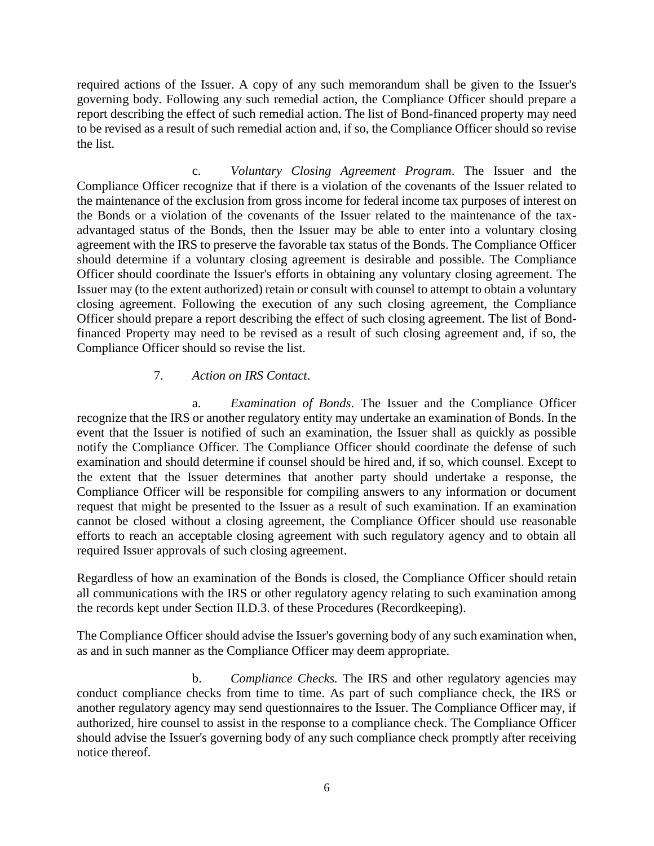required actions of the Issuer. A copy of any such memorandum shall be given to the Issuer's governing body. Following any such remedial action, the Compliance Officer should prepare a report describing the effect of such remedial action. The list of Bond-financed property may need to be revised as a result of such remedial action and, if so, the Compliance Officer should so revise the list.

c. *Voluntary Closing Agreement Program*. The Issuer and the Compliance Officer recognize that if there is a violation of the covenants of the Issuer related to the maintenance of the exclusion from gross income for federal income tax purposes of interest on the Bonds or a violation of the covenants of the Issuer related to the maintenance of the taxadvantaged status of the Bonds, then the Issuer may be able to enter into a voluntary closing agreement with the IRS to preserve the favorable tax status of the Bonds. The Compliance Officer should determine if a voluntary closing agreement is desirable and possible. The Compliance Officer should coordinate the Issuer's efforts in obtaining any voluntary closing agreement. The Issuer may (to the extent authorized) retain or consult with counsel to attempt to obtain a voluntary closing agreement. Following the execution of any such closing agreement, the Compliance Officer should prepare a report describing the effect of such closing agreement. The list of Bondfinanced Property may need to be revised as a result of such closing agreement and, if so, the Compliance Officer should so revise the list.

#### 7. *Action on IRS Contact*.

<span id="page-7-0"></span>a. *Examination of Bonds*. The Issuer and the Compliance Officer recognize that the IRS or another regulatory entity may undertake an examination of Bonds. In the event that the Issuer is notified of such an examination, the Issuer shall as quickly as possible notify the Compliance Officer. The Compliance Officer should coordinate the defense of such examination and should determine if counsel should be hired and, if so, which counsel. Except to the extent that the Issuer determines that another party should undertake a response, the Compliance Officer will be responsible for compiling answers to any information or document request that might be presented to the Issuer as a result of such examination. If an examination cannot be closed without a closing agreement, the Compliance Officer should use reasonable efforts to reach an acceptable closing agreement with such regulatory agency and to obtain all required Issuer approvals of such closing agreement.

Regardless of how an examination of the Bonds is closed, the Compliance Officer should retain all communications with the IRS or other regulatory agency relating to such examination among the records kept under Section II.D.3. of these Procedures (Recordkeeping).

The Compliance Officer should advise the Issuer's governing body of any such examination when, as and in such manner as the Compliance Officer may deem appropriate.

b. *Compliance Checks.* The IRS and other regulatory agencies may conduct compliance checks from time to time. As part of such compliance check, the IRS or another regulatory agency may send questionnaires to the Issuer. The Compliance Officer may, if authorized, hire counsel to assist in the response to a compliance check. The Compliance Officer should advise the Issuer's governing body of any such compliance check promptly after receiving notice thereof.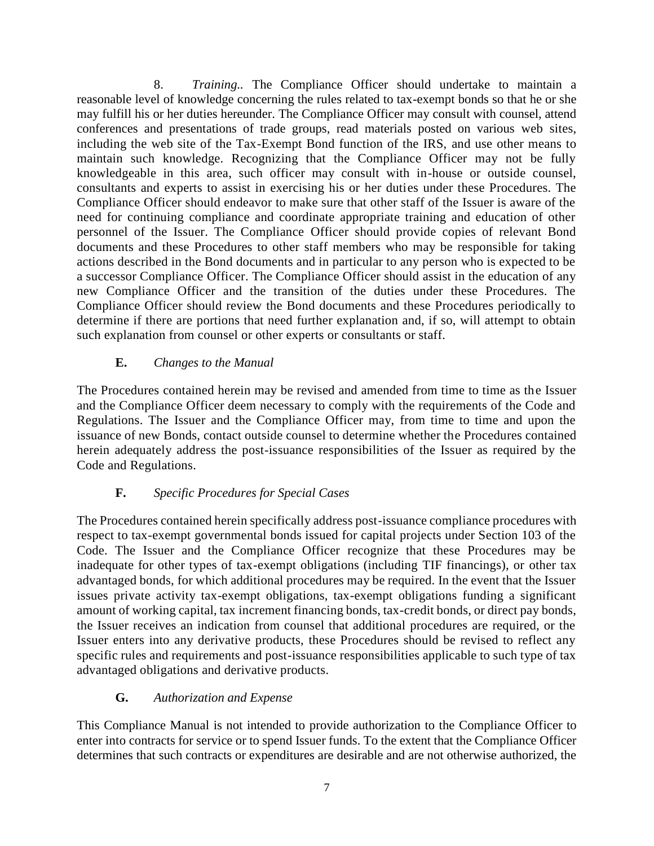<span id="page-8-0"></span>8. *Training..* The Compliance Officer should undertake to maintain a reasonable level of knowledge concerning the rules related to tax-exempt bonds so that he or she may fulfill his or her duties hereunder. The Compliance Officer may consult with counsel, attend conferences and presentations of trade groups, read materials posted on various web sites, including the web site of the Tax-Exempt Bond function of the IRS, and use other means to maintain such knowledge. Recognizing that the Compliance Officer may not be fully knowledgeable in this area, such officer may consult with in-house or outside counsel, consultants and experts to assist in exercising his or her duties under these Procedures. The Compliance Officer should endeavor to make sure that other staff of the Issuer is aware of the need for continuing compliance and coordinate appropriate training and education of other personnel of the Issuer. The Compliance Officer should provide copies of relevant Bond documents and these Procedures to other staff members who may be responsible for taking actions described in the Bond documents and in particular to any person who is expected to be a successor Compliance Officer. The Compliance Officer should assist in the education of any new Compliance Officer and the transition of the duties under these Procedures. The Compliance Officer should review the Bond documents and these Procedures periodically to determine if there are portions that need further explanation and, if so, will attempt to obtain such explanation from counsel or other experts or consultants or staff.

### **E.** *Changes to the Manual*

<span id="page-8-1"></span>The Procedures contained herein may be revised and amended from time to time as the Issuer and the Compliance Officer deem necessary to comply with the requirements of the Code and Regulations. The Issuer and the Compliance Officer may, from time to time and upon the issuance of new Bonds, contact outside counsel to determine whether the Procedures contained herein adequately address the post-issuance responsibilities of the Issuer as required by the Code and Regulations.

### **F.** *Specific Procedures for Special Cases*

<span id="page-8-2"></span>The Procedures contained herein specifically address post-issuance compliance procedures with respect to tax-exempt governmental bonds issued for capital projects under Section 103 of the Code. The Issuer and the Compliance Officer recognize that these Procedures may be inadequate for other types of tax-exempt obligations (including TIF financings), or other tax advantaged bonds, for which additional procedures may be required. In the event that the Issuer issues private activity tax-exempt obligations, tax-exempt obligations funding a significant amount of working capital, tax increment financing bonds, tax-credit bonds, or direct pay bonds, the Issuer receives an indication from counsel that additional procedures are required, or the Issuer enters into any derivative products, these Procedures should be revised to reflect any specific rules and requirements and post-issuance responsibilities applicable to such type of tax advantaged obligations and derivative products.

### **G.** *Authorization and Expense*

<span id="page-8-3"></span>This Compliance Manual is not intended to provide authorization to the Compliance Officer to enter into contracts for service or to spend Issuer funds. To the extent that the Compliance Officer determines that such contracts or expenditures are desirable and are not otherwise authorized, the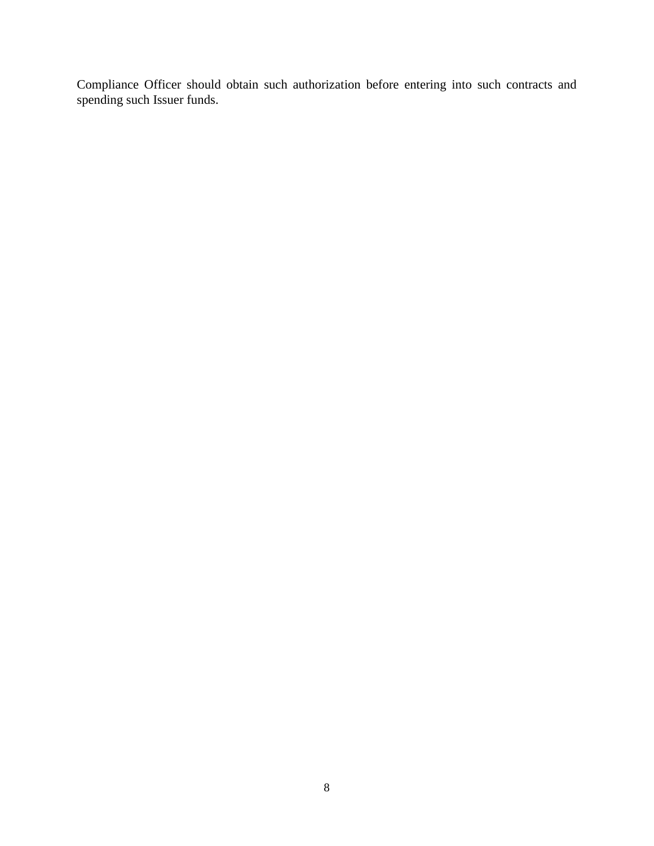Compliance Officer should obtain such authorization before entering into such contracts and spending such Issuer funds.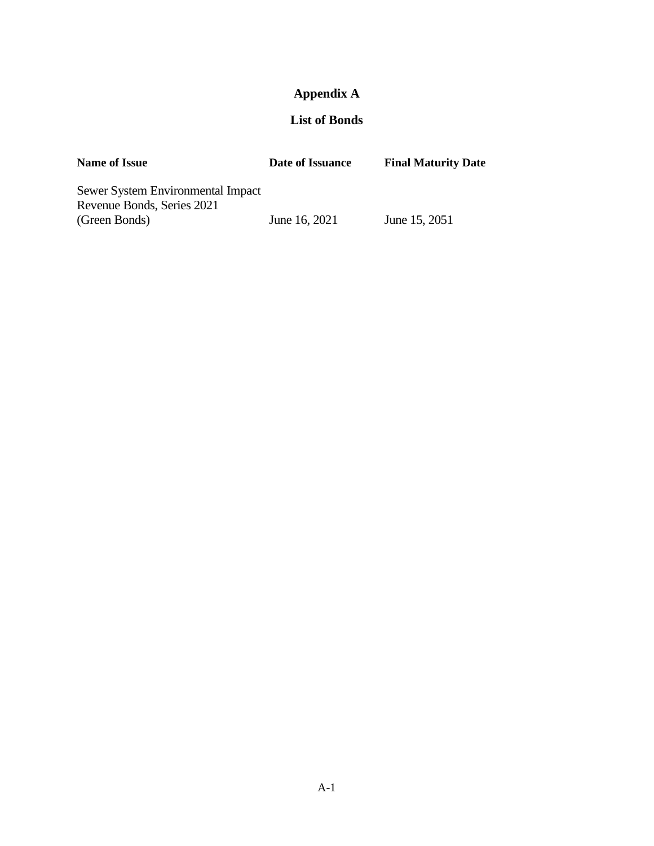# **Appendix A**

### **List of Bonds**

| <b>Name of Issue</b>                                                             | Date of Issuance | <b>Final Maturity Date</b> |
|----------------------------------------------------------------------------------|------------------|----------------------------|
| Sewer System Environmental Impact<br>Revenue Bonds, Series 2021<br>(Green Bonds) | June 16, 2021    | June 15, 2051              |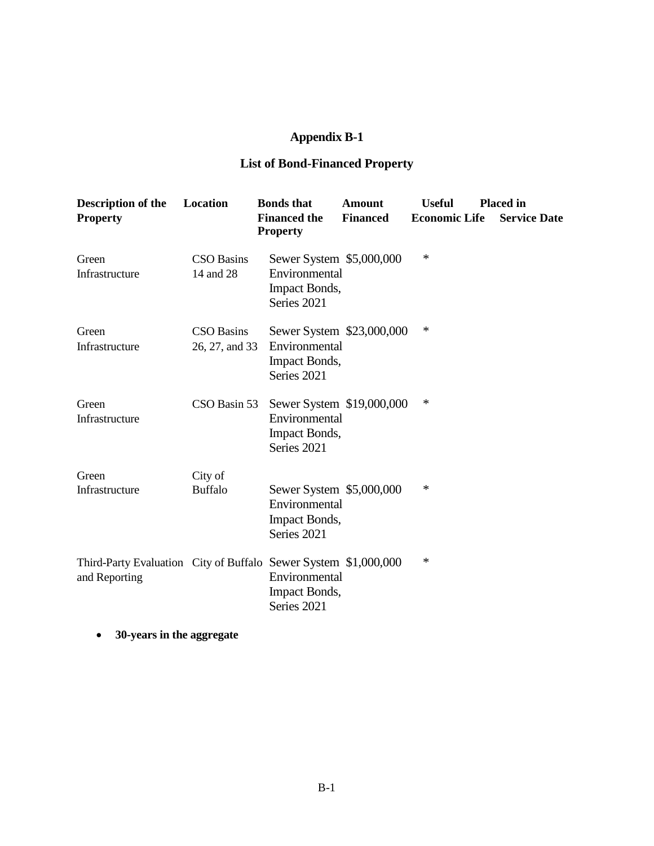# **Appendix B-1**

### **List of Bond-Financed Property**

| Description of the<br><b>Property</b>                                            | Location                            | <b>Bonds</b> that<br><b>Financed</b> the<br><b>Property</b>                       | <b>Amount</b><br><b>Financed</b> | <b>Useful</b><br><b>Economic Life</b> | <b>Placed in</b><br><b>Service Date</b> |
|----------------------------------------------------------------------------------|-------------------------------------|-----------------------------------------------------------------------------------|----------------------------------|---------------------------------------|-----------------------------------------|
| Green<br>Infrastructure                                                          | <b>CSO Basins</b><br>14 and 28      | Sewer System \$5,000,000<br>Environmental<br>Impact Bonds,<br>Series 2021         |                                  | $\ast$                                |                                         |
| Green<br>Infrastructure                                                          | <b>CSO Basins</b><br>26, 27, and 33 | Sewer System \$23,000,000<br>Environmental<br><b>Impact Bonds,</b><br>Series 2021 |                                  | ∗                                     |                                         |
| Green<br>Infrastructure                                                          | CSO Basin 53                        | Sewer System \$19,000,000<br>Environmental<br>Impact Bonds,<br>Series 2021        |                                  | *                                     |                                         |
| Green<br>Infrastructure                                                          | City of<br><b>Buffalo</b>           | Sewer System \$5,000,000<br>Environmental<br>Impact Bonds,<br>Series 2021         |                                  | $\ast$                                |                                         |
| Third-Party Evaluation City of Buffalo Sewer System \$1,000,000<br>and Reporting |                                     | Environmental<br><b>Impact Bonds,</b><br>Series 2021                              |                                  | *                                     |                                         |

• **30-years in the aggregate**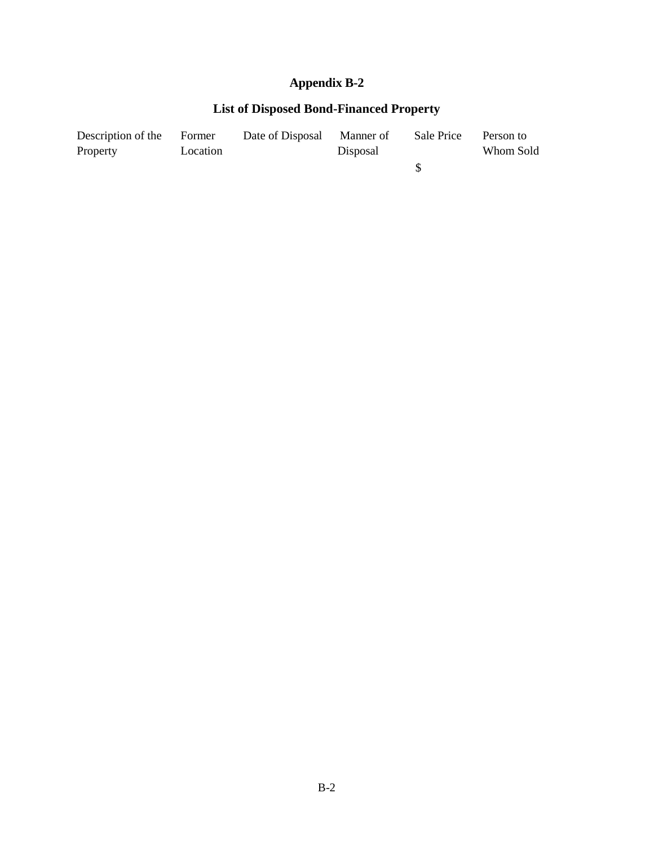# **Appendix B-2**

# **List of Disposed Bond-Financed Property**

| Description of the | Former   | Date of Disposal Manner of |          | Sale Price | Person to |
|--------------------|----------|----------------------------|----------|------------|-----------|
| Property           | Location |                            | Disposal |            | Whom Sold |
|                    |          |                            |          |            |           |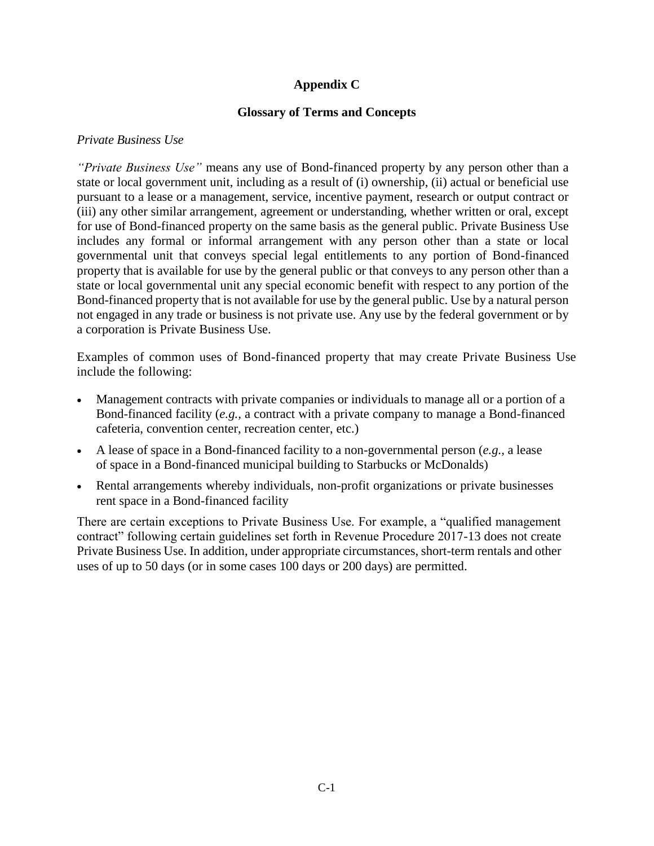### **Appendix C**

### **Glossary of Terms and Concepts**

#### *Private Business Use*

*"Private Business Use"* means any use of Bond-financed property by any person other than a state or local government unit, including as a result of (i) ownership, (ii) actual or beneficial use pursuant to a lease or a management, service, incentive payment, research or output contract or (iii) any other similar arrangement, agreement or understanding, whether written or oral, except for use of Bond-financed property on the same basis as the general public. Private Business Use includes any formal or informal arrangement with any person other than a state or local governmental unit that conveys special legal entitlements to any portion of Bond-financed property that is available for use by the general public or that conveys to any person other than a state or local governmental unit any special economic benefit with respect to any portion of the Bond-financed property that is not available for use by the general public. Use by a natural person not engaged in any trade or business is not private use. Any use by the federal government or by a corporation is Private Business Use.

Examples of common uses of Bond-financed property that may create Private Business Use include the following:

- Management contracts with private companies or individuals to manage all or a portion of a Bond-financed facility (*e.g.,* a contract with a private company to manage a Bond-financed cafeteria, convention center, recreation center, etc.)
- A lease of space in a Bond-financed facility to a non-governmental person (*e.g.,* a lease of space in a Bond-financed municipal building to Starbucks or McDonalds)
- Rental arrangements whereby individuals, non-profit organizations or private businesses rent space in a Bond-financed facility

There are certain exceptions to Private Business Use. For example, a "qualified management contract" following certain guidelines set forth in Revenue Procedure 2017-13 does not create Private Business Use. In addition, under appropriate circumstances, short-term rentals and other uses of up to 50 days (or in some cases 100 days or 200 days) are permitted.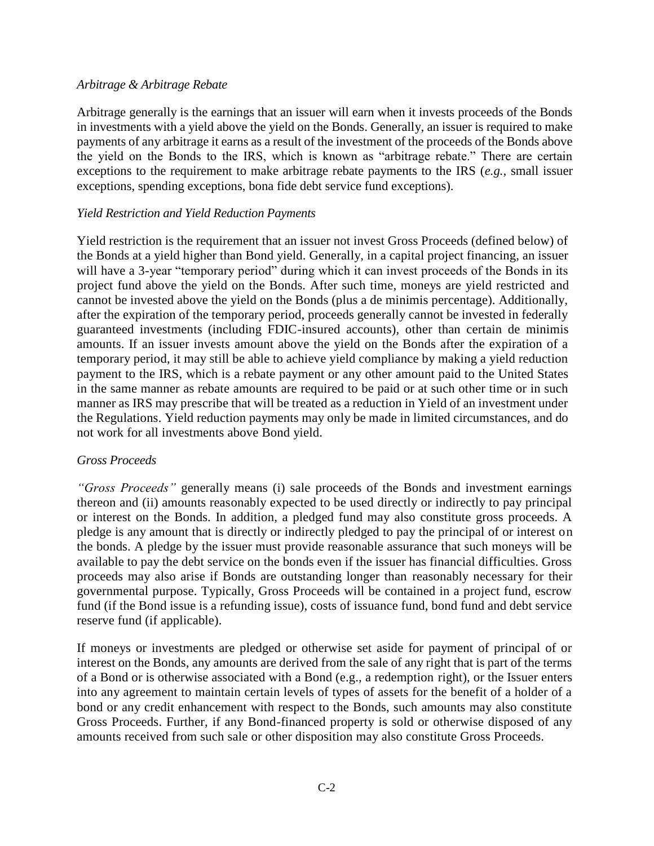#### *Arbitrage & Arbitrage Rebate*

Arbitrage generally is the earnings that an issuer will earn when it invests proceeds of the Bonds in investments with a yield above the yield on the Bonds. Generally, an issuer is required to make payments of any arbitrage it earns as a result of the investment of the proceeds of the Bonds above the yield on the Bonds to the IRS, which is known as "arbitrage rebate." There are certain exceptions to the requirement to make arbitrage rebate payments to the IRS (*e.g.,* small issuer exceptions, spending exceptions, bona fide debt service fund exceptions).

#### *Yield Restriction and Yield Reduction Payments*

Yield restriction is the requirement that an issuer not invest Gross Proceeds (defined below) of the Bonds at a yield higher than Bond yield. Generally, in a capital project financing, an issuer will have a 3-year "temporary period" during which it can invest proceeds of the Bonds in its project fund above the yield on the Bonds. After such time, moneys are yield restricted and cannot be invested above the yield on the Bonds (plus a de minimis percentage). Additionally, after the expiration of the temporary period, proceeds generally cannot be invested in federally guaranteed investments (including FDIC-insured accounts), other than certain de minimis amounts. If an issuer invests amount above the yield on the Bonds after the expiration of a temporary period, it may still be able to achieve yield compliance by making a yield reduction payment to the IRS, which is a rebate payment or any other amount paid to the United States in the same manner as rebate amounts are required to be paid or at such other time or in such manner as IRS may prescribe that will be treated as a reduction in Yield of an investment under the Regulations. Yield reduction payments may only be made in limited circumstances, and do not work for all investments above Bond yield.

#### *Gross Proceeds*

*"Gross Proceeds"* generally means (i) sale proceeds of the Bonds and investment earnings thereon and (ii) amounts reasonably expected to be used directly or indirectly to pay principal or interest on the Bonds. In addition, a pledged fund may also constitute gross proceeds. A pledge is any amount that is directly or indirectly pledged to pay the principal of or interest on the bonds. A pledge by the issuer must provide reasonable assurance that such moneys will be available to pay the debt service on the bonds even if the issuer has financial difficulties. Gross proceeds may also arise if Bonds are outstanding longer than reasonably necessary for their governmental purpose. Typically, Gross Proceeds will be contained in a project fund, escrow fund (if the Bond issue is a refunding issue), costs of issuance fund, bond fund and debt service reserve fund (if applicable).

If moneys or investments are pledged or otherwise set aside for payment of principal of or interest on the Bonds, any amounts are derived from the sale of any right that is part of the terms of a Bond or is otherwise associated with a Bond (e.g., a redemption right), or the Issuer enters into any agreement to maintain certain levels of types of assets for the benefit of a holder of a bond or any credit enhancement with respect to the Bonds, such amounts may also constitute Gross Proceeds. Further, if any Bond-financed property is sold or otherwise disposed of any amounts received from such sale or other disposition may also constitute Gross Proceeds.